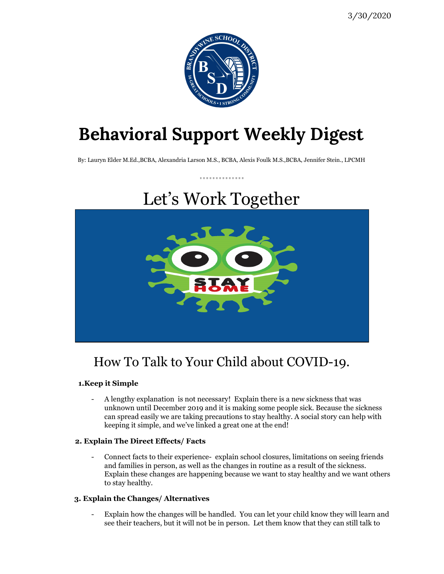

# **Behavioral Support Weekly Digest**

By: Lauryn Elder M.Ed.,BCBA, Alexandria Larson M.S., BCBA, Alexis Foulk M.S.,BCBA, Jennifer Stein., LPCMH

. . . . . . . . . . . . . .

# Let's Work Together



### How To Talk to Your Child about COVID-19.

#### **1.Keep it Simple**

- A lengthy explanation is not necessary! Explain there is a new sickness that was unknown until December 2019 and it is making some people sick. Because the sickness can spread easily we are taking precautions to stay healthy. A social story can help with keeping it simple, and we've linked a great one at the end!

#### **2. Explain The Direct Effects/ Facts**

- Connect facts to their experience- explain school closures, limitations on seeing friends and families in person, as well as the changes in routine as a result of the sickness. Explain these changes are happening because we want to stay healthy and we want others to stay healthy.

#### **3. Explain the Changes/ Alternatives**

- Explain how the changes will be handled. You can let your child know they will learn and see their teachers, but it will not be in person. Let them know that they can still talk to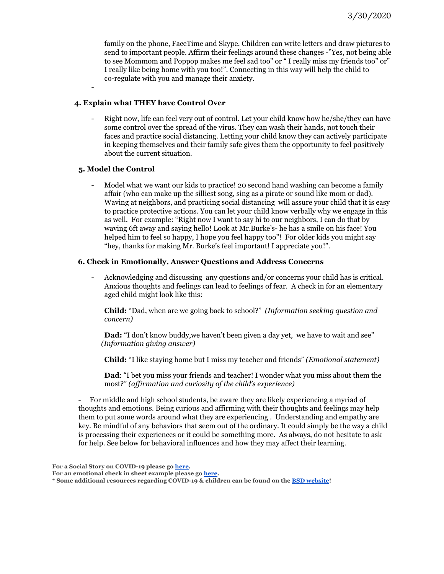family on the phone, FaceTime and Skype. Children can write letters and draw pictures to send to important people. Affirm their feelings around these changes -"Yes, not being able to see Mommom and Poppop makes me feel sad too" or " I really miss my friends too" or" I really like being home with you too!". Connecting in this way will help the child to co-regulate with you and manage their anxiety.

#### **4. Explain what THEY have Control Over**

Right now, life can feel very out of control. Let your child know how he/she/they can have some control over the spread of the virus. They can wash their hands, not touch their faces and practice social distancing. Letting your child know they can actively participate in keeping themselves and their family safe gives them the opportunity to feel positively about the current situation.

#### **5. Model the Control**

-

- Model what we want our kids to practice! 20 second hand washing can become a family affair (who can make up the silliest song, sing as a pirate or sound like mom or dad). Waving at neighbors, and practicing social distancing will assure your child that it is easy to practice protective actions. You can let your child know verbally why we engage in this as well. For example: "Right now I want to say hi to our neighbors, I can do that by waving 6ft away and saying hello! Look at Mr.Burke's- he has a smile on his face! You helped him to feel so happy, I hope you feel happy too"! For older kids you might say "hey, thanks for making Mr. Burke's feel important! I appreciate you!".

#### **6. Check in Emotionally, Answer Questions and Address Concerns**

- Acknowledging and discussing any questions and/or concerns your child has is critical. Anxious thoughts and feelings can lead to feelings of fear. A check in for an elementary aged child might look like this:

**Child:** "Dad, when are we going back to school?" *(Information seeking question and concern)*

**Dad:** "I don't know buddy, we haven't been given a day yet, we have to wait and see" *(Information giving answer)*

**Child:** "I like staying home but I miss my teacher and friends" *(Emotional statement)*

**Dad**: "I bet you miss your friends and teacher! I wonder what you miss about them the most?" *(af irmation and curiosity of the child's experience)*

- For middle and high school students, be aware they are likely experiencing a myriad of thoughts and emotions. Being curious and affirming with their thoughts and feelings may help them to put some words around what they are experiencing . Understanding and empathy are key. Be mindful of any behaviors that seem out of the ordinary. It could simply be the way a child is processing their experiences or it could be something more. As always, do not hesitate to ask for help. See below for behavioral influences and how they may affect their learning.

**For a Social Story on COVID-19 please go [here](https://littlepuddins.ie/coronavirus-social-story/).**

**For an emotional check in sheet example please go [here.](https://do2learn.com/activities/SocialSkills/EmotionCheckIn-Checkout/EmotionalCheckIn-Out_level01.pdf)**

**<sup>\*</sup> Some additional resources regarding COVID-19 & children can be found on the BSD [website!](https://de50000195.schoolwires.net/domain/5015)**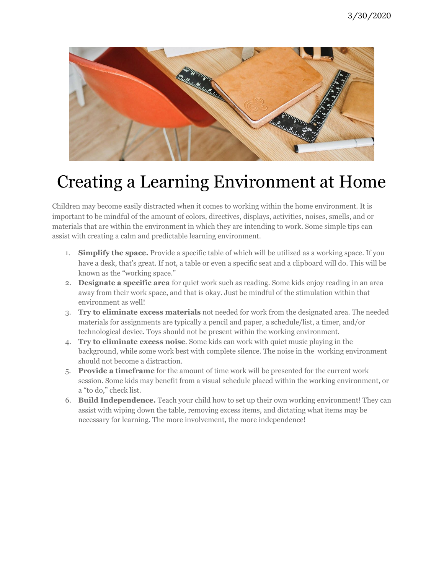

## Creating a Learning Environment at Home

Children may become easily distracted when it comes to working within the home environment. It is important to be mindful of the amount of colors, directives, displays, activities, noises, smells, and or materials that are within the environment in which they are intending to work. Some simple tips can assist with creating a calm and predictable learning environment.

- 1. **Simplify the space.** Provide a specific table of which will be utilized as a working space. If you have a desk, that's great. If not, a table or even a specific seat and a clipboard will do. This will be known as the "working space."
- 2. **Designate a specific area** for quiet work such as reading. Some kids enjoy reading in an area away from their work space, and that is okay. Just be mindful of the stimulation within that environment as well!
- 3. **Try to eliminate excess materials** not needed for work from the designated area. The needed materials for assignments are typically a pencil and paper, a schedule/list, a timer, and/or technological device. Toys should not be present within the working environment.
- 4. **Try to eliminate excess noise**. Some kids can work with quiet music playing in the background, while some work best with complete silence. The noise in the working environment should not become a distraction.
- 5. **Provide a timeframe** for the amount of time work will be presented for the current work session. Some kids may benefit from a visual schedule placed within the working environment, or a "to do," check list.
- 6. **Build Independence.** Teach your child how to set up their own working environment! They can assist with wiping down the table, removing excess items, and dictating what items may be necessary for learning. The more involvement, the more independence!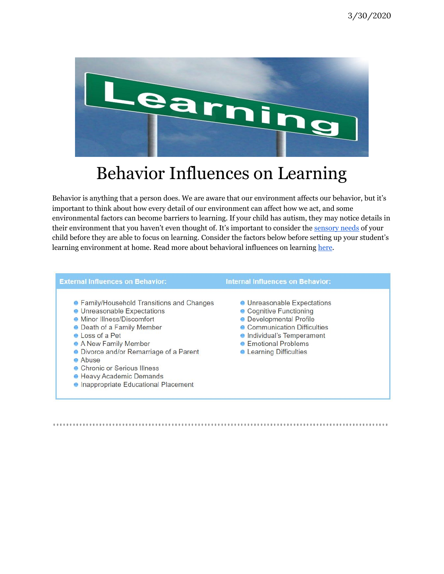

### Behavior Influences on Learning

Behavior is anything that a person does. We are aware that our environment affects our behavior, but it's important to think about how every detail of our environment can affect how we act, and some environmental factors can become barriers to learning. If your child has autism, they may notice details in their environment that you haven't even thought of. It's important to consider the [sensory](https://livingautism.com/create-autism-friendly-environment/) needs of your child before they are able to focus on learning. Consider the factors below before setting up your student's learning environment at home. Read more about behavioral influences on learning [here](https://do2learn.com/disabilities/FASDtoolbox/classroom_management/behavior_in_the_classroom/behavioral_influences.htm).

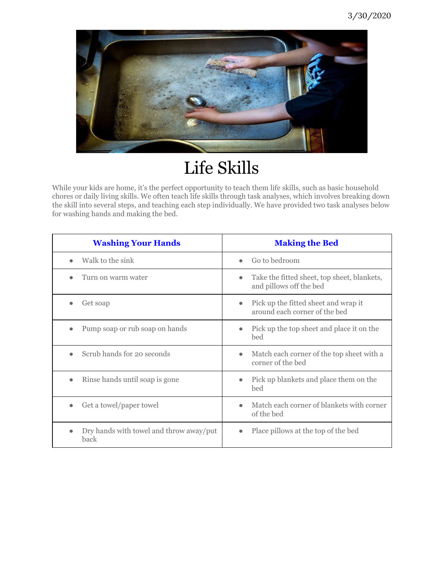

# Life Skills

While your kids are home, it's the perfect opportunity to teach them life skills, such as basic household chores or daily living skills. We often teach life skills through task analyses, which involves breaking down the skill into several steps, and teaching each step individually. We have provided two task analyses below for washing hands and making the bed.

| <b>Washing Your Hands</b>                       | <b>Making the Bed</b>                                                               |
|-------------------------------------------------|-------------------------------------------------------------------------------------|
| Walk to the sink                                | Go to bedroom<br>$\bullet$                                                          |
| Turn on warm water                              | Take the fitted sheet, top sheet, blankets,<br>$\bullet$<br>and pillows off the bed |
| Get soap                                        | Pick up the fitted sheet and wrap it<br>$\bullet$<br>around each corner of the bed  |
| Pump soap or rub soap on hands                  | Pick up the top sheet and place it on the<br>$\bullet$<br>bed                       |
| Scrub hands for 20 seconds                      | Match each corner of the top sheet with a<br>$\bullet$<br>corner of the bed         |
| Rinse hands until soap is gone                  | Pick up blankets and place them on the<br>$\bullet$<br>bed                          |
| Get a towel/paper towel                         | Match each corner of blankets with corner<br>$\bullet$<br>of the bed                |
| Dry hands with towel and throw away/put<br>back | Place pillows at the top of the bed<br>$\bullet$                                    |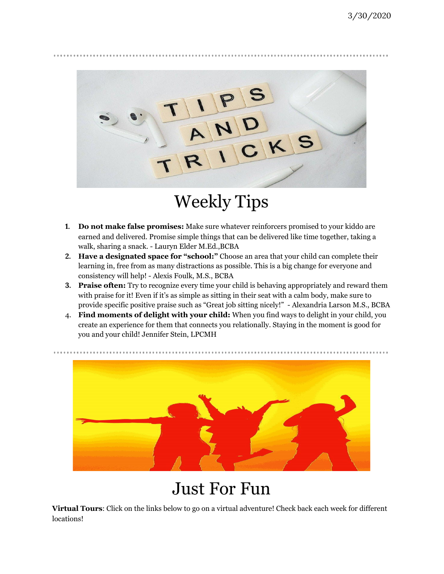

# Weekly Tips

- **1. Do not make false promises:** Make sure whatever reinforcers promised to your kiddo are earned and delivered. Promise simple things that can be delivered like time together, taking a walk, sharing a snack. - Lauryn Elder M.Ed.,BCBA
- **2. Have a designated space for "school:"** Choose an area that your child can complete their learning in, free from as many distractions as possible. This is a big change for everyone and consistency will help! - Alexis Foulk, M.S., BCBA
- **3. Praise often:** Try to recognize every time your child is behaving appropriately and reward them with praise for it! Even if it's as simple as sitting in their seat with a calm body, make sure to provide specific positive praise such as "Great job sitting nicely!" - Alexandria Larson M.S., BCBA
- 4. **Find moments of delight with your child:** When you find ways to delight in your child, you create an experience for them that connects you relationally. Staying in the moment is good for you and your child! Jennifer Stein, LPCMH



### Just For Fun

**Virtual Tours**: Click on the links below to go on a virtual adventure! Check back each week for different locations!